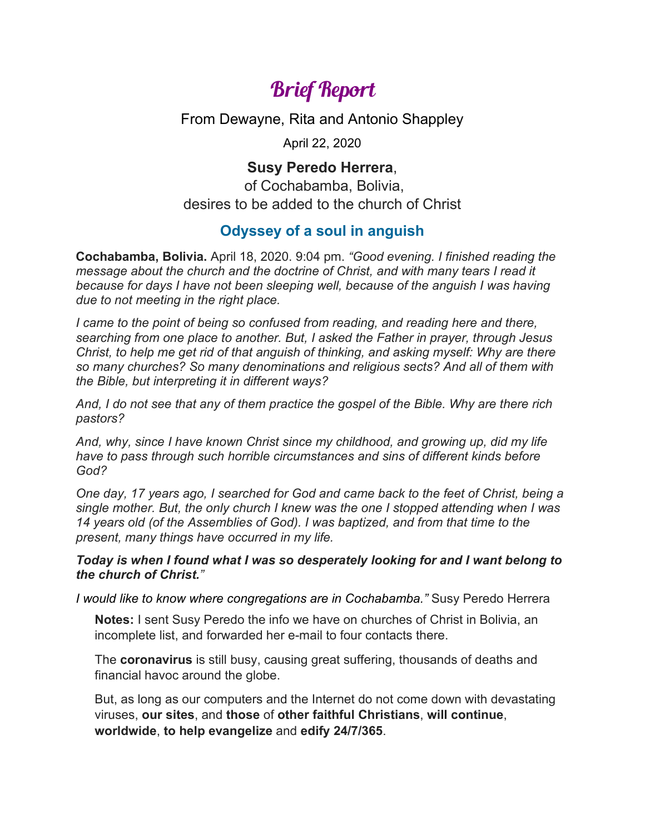## Brief Report

From Dewayne, Rita and Antonio Shappley

April 22, 2020

## **Susy Peredo Herrera**,

of Cochabamba, Bolivia, desires to be added to the church of Christ

## **Odyssey of a soul in anguish**

**Cochabamba, Bolivia.** April 18, 2020. 9:04 pm. *"Good evening. I finished reading the message about the church and the doctrine of Christ, and with many tears I read it because for days I have not been sleeping well, because of the anguish I was having due to not meeting in the right place.* 

*I came to the point of being so confused from reading, and reading here and there, searching from one place to another. But, I asked the Father in prayer, through Jesus Christ, to help me get rid of that anguish of thinking, and asking myself: Why are there so many churches? So many denominations and religious sects? And all of them with the Bible, but interpreting it in different ways?* 

*And, I do not see that any of them practice the gospel of the Bible. Why are there rich pastors?*

*And, why, since I have known Christ since my childhood, and growing up, did my life have to pass through such horrible circumstances and sins of different kinds before God?* 

*One day, 17 years ago, I searched for God and came back to the feet of Christ, being a single mother. But, the only church I knew was the one I stopped attending when I was 14 years old (of the Assemblies of God). I was baptized, and from that time to the present, many things have occurred in my life.* 

## *Today is when I found what I was so desperately looking for and I want belong to the church of Christ."*

*I would like to know where congregations are in Cochabamba."* Susy Peredo Herrera

**Notes:** I sent Susy Peredo the info we have on churches of Christ in Bolivia, an incomplete list, and forwarded her e-mail to four contacts there.

The **coronavirus** is still busy, causing great suffering, thousands of deaths and financial havoc around the globe.

But, as long as our computers and the Internet do not come down with devastating viruses, **our sites**, and **those** of **other faithful Christians**, **will continue**, **worldwide**, **to help evangelize** and **edify 24/7/365**.